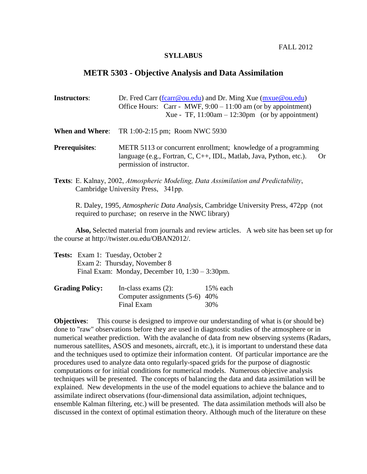FALL 2012

## **SYLLABUS**

## **METR 5303 - Objective Analysis and Data Assimilation**

| <b>Instructors:</b> | Dr. Fred Carr (fcarr@ou.edu) and Dr. Ming Xue ( $mxue@ou.edu$ )<br>Office Hours: Carr - MWF, $9:00 - 11:00$ am (or by appointment)<br>Xue - TF, $11:00$ am - $12:30$ pm (or by appointment) |
|---------------------|---------------------------------------------------------------------------------------------------------------------------------------------------------------------------------------------|
|                     | <b>When and Where:</b> TR 1:00-2:15 pm; Room NWC 5930                                                                                                                                       |

- **Prerequisites:** METR 5113 or concurrent enrollment; knowledge of a programming language (e.g., Fortran, C, C++, IDL, Matlab, Java, Python, etc.). Or permission of instructor.
- **Texts**: [E. Kalnay,](http://www.amazon.com/exec/obidos/search-handle-url/index=books&field-author=Kalnay%2C%20Eugenia/103-9532068-5380659) 2002, *Atmospheric Modeling, Data Assimilation and Predictability*, Cambridge University Press, 341pp.

R. Daley, 1995, *Atmospheric Data Analysis*, Cambridge University Press, 472pp (not required to purchase; on reserve in the NWC library)

**Also,** Selected material from journals and review articles. A web site has been set up for the course at http://twister.ou.edu/OBAN2012/.

| <b>Tests:</b> Exam 1: Tuesday, October 2              |
|-------------------------------------------------------|
| Exam 2: Thursday, November 8                          |
| Final Exam: Monday, December $10$ , $1:30 - 3:30$ pm. |

| <b>Grading Policy:</b> | In-class exams $(2)$ :           | $15%$ each |
|------------------------|----------------------------------|------------|
|                        | Computer assignments $(5-6)$ 40% |            |
|                        | Final Exam                       | 30%        |

**Objectives**: This course is designed to improve our understanding of what is (or should be) done to "raw" observations before they are used in diagnostic studies of the atmosphere or in numerical weather prediction. With the avalanche of data from new observing systems (Radars, numerous satellites, ASOS and mesonets, aircraft, etc.), it is important to understand these data and the techniques used to optimize their information content. Of particular importance are the procedures used to analyze data onto regularly-spaced grids for the purpose of diagnostic computations or for initial conditions for numerical models. Numerous objective analysis techniques will be presented. The concepts of balancing the data and data assimilation will be explained. New developments in the use of the model equations to achieve the balance and to assimilate indirect observations (four-dimensional data assimilation, adjoint techniques, ensemble Kalman filtering, etc.) will be presented. The data assimilation methods will also be discussed in the context of optimal estimation theory. Although much of the literature on these